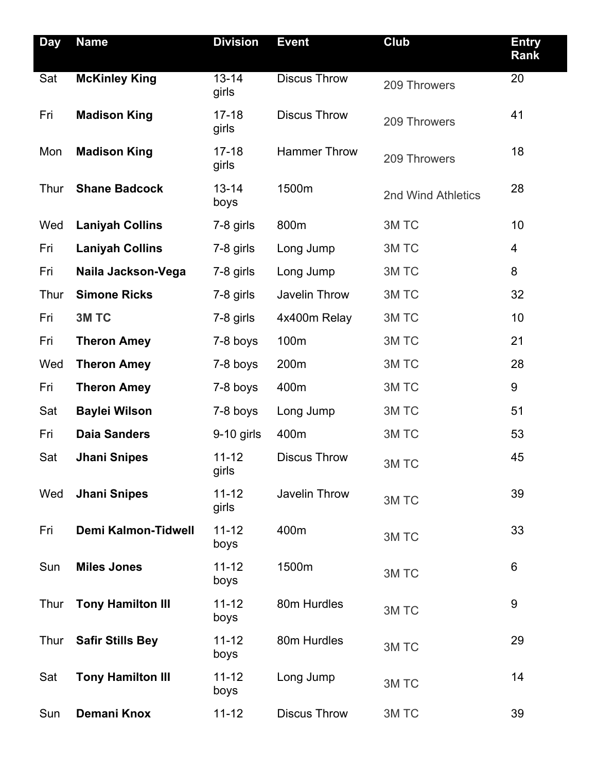| <b>Day</b>  | <b>Name</b>                | <b>Division</b>               | <b>Event</b>         | <b>Club</b>        | <b>Entry</b><br>Rank |
|-------------|----------------------------|-------------------------------|----------------------|--------------------|----------------------|
| Sat         | <b>McKinley King</b>       | $\overline{13} - 14$<br>girls | <b>Discus Throw</b>  | 209 Throwers       | 20                   |
| Fri         | <b>Madison King</b>        | $17 - 18$<br>girls            | <b>Discus Throw</b>  | 209 Throwers       | 41                   |
| Mon         | <b>Madison King</b>        | $17 - 18$<br>girls            | <b>Hammer Throw</b>  | 209 Throwers       | 18                   |
| Thur        | <b>Shane Badcock</b>       | $13 - 14$<br>boys             | 1500m                | 2nd Wind Athletics | 28                   |
| Wed         | <b>Laniyah Collins</b>     | 7-8 girls                     | 800m                 | 3M TC              | 10                   |
| Fri         | <b>Laniyah Collins</b>     | 7-8 girls                     | Long Jump            | 3M TC              | 4                    |
| Fri         | Naila Jackson-Vega         | 7-8 girls                     | Long Jump            | 3M TC              | 8                    |
| Thur        | <b>Simone Ricks</b>        | 7-8 girls                     | Javelin Throw        | 3M TC              | 32                   |
| Fri         | 3M TC                      | 7-8 girls                     | 4x400m Relay         | 3M TC              | 10                   |
| Fri         | <b>Theron Amey</b>         | 7-8 boys                      | 100m                 | 3M TC              | 21                   |
| Wed         | <b>Theron Amey</b>         | 7-8 boys                      | 200m                 | 3M TC              | 28                   |
| Fri         | <b>Theron Amey</b>         | 7-8 boys                      | 400m                 | 3M TC              | $9\,$                |
| Sat         | <b>Baylei Wilson</b>       | 7-8 boys                      | Long Jump            | 3M TC              | 51                   |
| Fri         | <b>Daia Sanders</b>        | $9-10$ girls                  | 400m                 | 3M TC              | 53                   |
| Sat         | <b>Jhani Snipes</b>        | $11 - 12$<br>girls            | <b>Discus Throw</b>  | 3M TC              | 45                   |
| Wed         | <b>Jhani Snipes</b>        | $11 - 12$<br>girls            | <b>Javelin Throw</b> | 3M TC              | 39                   |
| Fri         | <b>Demi Kalmon-Tidwell</b> | $11 - 12$<br>boys             | 400m                 | 3M TC              | 33                   |
| Sun         | <b>Miles Jones</b>         | $11 - 12$<br>boys             | 1500m                | 3M TC              | 6                    |
| Thur        | <b>Tony Hamilton III</b>   | $11 - 12$<br>boys             | 80m Hurdles          | 3M TC              | $9\,$                |
| <b>Thur</b> | <b>Safir Stills Bey</b>    | $11 - 12$<br>boys             | 80m Hurdles          | 3M TC              | 29                   |
| Sat         | <b>Tony Hamilton III</b>   | $11 - 12$<br>boys             | Long Jump            | 3M TC              | 14                   |
| Sun         | <b>Demani Knox</b>         | $11 - 12$                     | <b>Discus Throw</b>  | 3M TC              | 39                   |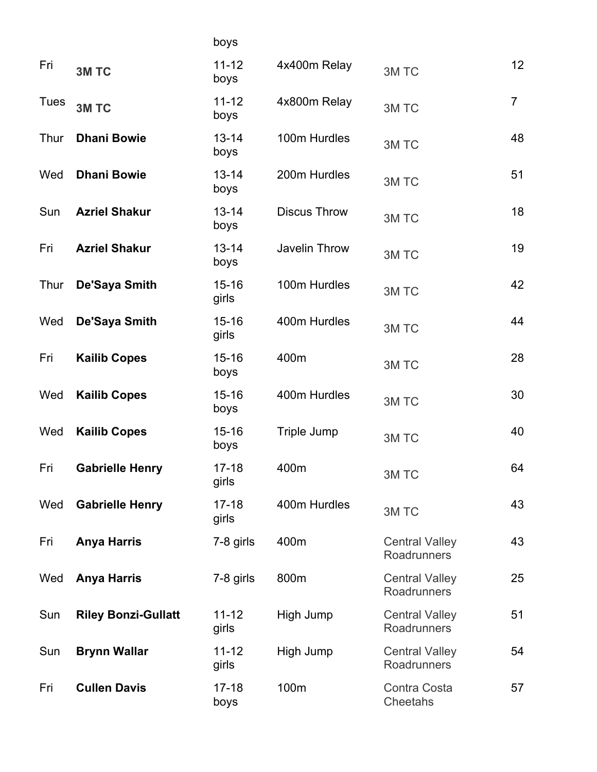|             |                            | boys               |                      |                                      |                |
|-------------|----------------------------|--------------------|----------------------|--------------------------------------|----------------|
| Fri         | 3M TC                      | $11 - 12$<br>boys  | 4x400m Relay         | 3M TC                                | 12             |
| <b>Tues</b> | 3M TC                      | $11 - 12$<br>boys  | 4x800m Relay         | 3M TC                                | $\overline{7}$ |
| Thur        | <b>Dhani Bowie</b>         | $13 - 14$<br>boys  | 100m Hurdles         | 3M TC                                | 48             |
| Wed         | <b>Dhani Bowie</b>         | $13 - 14$<br>boys  | 200m Hurdles         | 3M TC                                | 51             |
| Sun         | <b>Azriel Shakur</b>       | $13 - 14$<br>boys  | <b>Discus Throw</b>  | 3M TC                                | 18             |
| Fri         | <b>Azriel Shakur</b>       | $13 - 14$<br>boys  | <b>Javelin Throw</b> | 3M TC                                | 19             |
| Thur        | De'Saya Smith              | $15 - 16$<br>girls | 100m Hurdles         | 3M TC                                | 42             |
| Wed         | De'Saya Smith              | $15 - 16$<br>girls | 400m Hurdles         | 3M TC                                | 44             |
| Fri         | <b>Kailib Copes</b>        | $15 - 16$<br>boys  | 400m                 | 3M TC                                | 28             |
| Wed         | <b>Kailib Copes</b>        | $15 - 16$<br>boys  | 400m Hurdles         | 3M TC                                | 30             |
| Wed         | <b>Kailib Copes</b>        | $15 - 16$<br>boys  | Triple Jump          | 3M TC                                | 40             |
| Fri         | <b>Gabrielle Henry</b>     | $17 - 18$<br>girls | 400m                 | 3M TC                                | 64             |
| Wed         | <b>Gabrielle Henry</b>     | $17 - 18$<br>girls | 400m Hurdles         | 3M TC                                | 43             |
| Fri         | <b>Anya Harris</b>         | 7-8 girls          | 400m                 | <b>Central Valley</b><br>Roadrunners | 43             |
| Wed         | <b>Anya Harris</b>         | 7-8 girls          | 800m                 | <b>Central Valley</b><br>Roadrunners | 25             |
| Sun         | <b>Riley Bonzi-Gullatt</b> | $11 - 12$<br>girls | High Jump            | <b>Central Valley</b><br>Roadrunners | 51             |
| Sun         | <b>Brynn Wallar</b>        | $11 - 12$<br>girls | High Jump            | <b>Central Valley</b><br>Roadrunners | 54             |
| Fri         | <b>Cullen Davis</b>        | $17 - 18$<br>boys  | 100m                 | Contra Costa<br>Cheetahs             | 57             |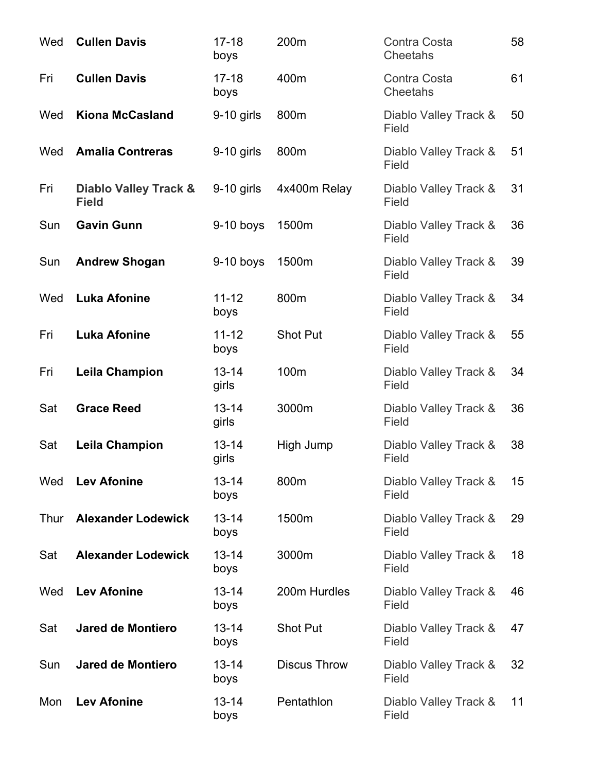| Wed  | <b>Cullen Davis</b>                              | $17 - 18$<br>boys  | 200m                | Contra Costa<br>Cheetahs       | 58 |
|------|--------------------------------------------------|--------------------|---------------------|--------------------------------|----|
| Fri  | <b>Cullen Davis</b>                              | $17 - 18$<br>boys  | 400m                | Contra Costa<br>Cheetahs       | 61 |
| Wed  | <b>Kiona McCasland</b>                           | $9-10$ girls       | 800m                | Diablo Valley Track &<br>Field | 50 |
| Wed  | <b>Amalia Contreras</b>                          | $9-10$ girls       | 800m                | Diablo Valley Track &<br>Field | 51 |
| Fri  | <b>Diablo Valley Track &amp;</b><br><b>Field</b> | $9-10$ girls       | 4x400m Relay        | Diablo Valley Track &<br>Field | 31 |
| Sun  | <b>Gavin Gunn</b>                                | $9-10$ boys        | 1500m               | Diablo Valley Track &<br>Field | 36 |
| Sun  | <b>Andrew Shogan</b>                             | $9-10$ boys        | 1500m               | Diablo Valley Track &<br>Field | 39 |
| Wed  | <b>Luka Afonine</b>                              | $11 - 12$<br>boys  | 800m                | Diablo Valley Track &<br>Field | 34 |
| Fri  | <b>Luka Afonine</b>                              | $11 - 12$<br>boys  | <b>Shot Put</b>     | Diablo Valley Track &<br>Field | 55 |
| Fri  | <b>Leila Champion</b>                            | $13 - 14$<br>girls | 100m                | Diablo Valley Track &<br>Field | 34 |
| Sat  | <b>Grace Reed</b>                                | $13 - 14$<br>girls | 3000m               | Diablo Valley Track &<br>Field | 36 |
| Sat  | <b>Leila Champion</b>                            | $13 - 14$<br>girls | High Jump           | Diablo Valley Track &<br>Field | 38 |
| Wed  | <b>Lev Afonine</b>                               | $13 - 14$<br>boys  | 800m                | Diablo Valley Track &<br>Field | 15 |
| Thur | <b>Alexander Lodewick</b>                        | $13 - 14$<br>boys  | 1500m               | Diablo Valley Track &<br>Field | 29 |
| Sat  | <b>Alexander Lodewick</b>                        | $13 - 14$<br>boys  | 3000m               | Diablo Valley Track &<br>Field | 18 |
| Wed  | <b>Lev Afonine</b>                               | $13 - 14$<br>boys  | 200m Hurdles        | Diablo Valley Track &<br>Field | 46 |
| Sat  | <b>Jared de Montiero</b>                         | $13 - 14$<br>boys  | Shot Put            | Diablo Valley Track &<br>Field | 47 |
| Sun  | <b>Jared de Montiero</b>                         | $13 - 14$<br>boys  | <b>Discus Throw</b> | Diablo Valley Track &<br>Field | 32 |
| Mon  | <b>Lev Afonine</b>                               | $13 - 14$<br>boys  | Pentathlon          | Diablo Valley Track &<br>Field | 11 |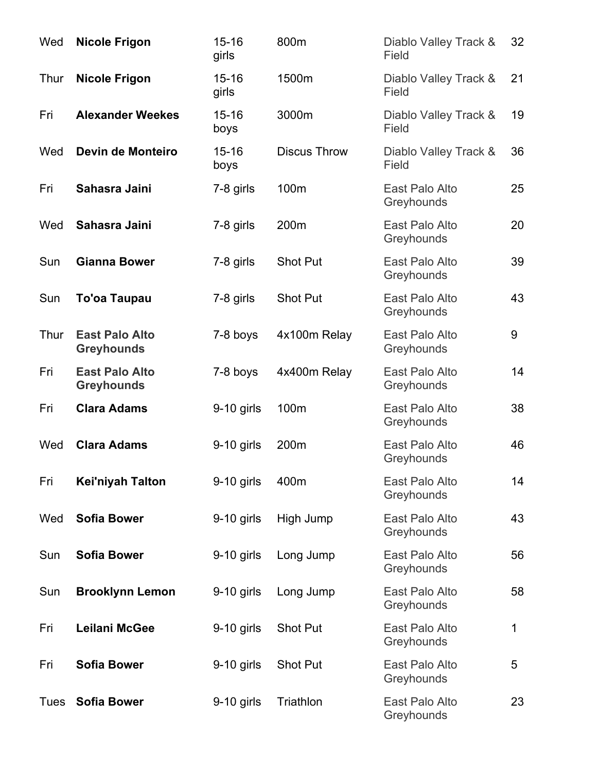| Wed         | <b>Nicole Frigon</b>                       | $15 - 16$<br>girls | 800m                | Diablo Valley Track &<br>Field | 32 |
|-------------|--------------------------------------------|--------------------|---------------------|--------------------------------|----|
| Thur        | <b>Nicole Frigon</b>                       | $15 - 16$<br>girls | 1500m               | Diablo Valley Track &<br>Field | 21 |
| Fri         | <b>Alexander Weekes</b>                    | $15 - 16$<br>boys  | 3000m               | Diablo Valley Track &<br>Field | 19 |
| Wed         | Devin de Monteiro                          | $15 - 16$<br>boys  | <b>Discus Throw</b> | Diablo Valley Track &<br>Field | 36 |
| Fri         | Sahasra Jaini                              | 7-8 girls          | 100m                | East Palo Alto<br>Greyhounds   | 25 |
| Wed         | Sahasra Jaini                              | 7-8 girls          | 200m                | East Palo Alto<br>Greyhounds   | 20 |
| Sun         | <b>Gianna Bower</b>                        | 7-8 girls          | <b>Shot Put</b>     | East Palo Alto<br>Greyhounds   | 39 |
| Sun         | <b>To'oa Taupau</b>                        | 7-8 girls          | Shot Put            | East Palo Alto<br>Greyhounds   | 43 |
| Thur        | <b>East Palo Alto</b><br><b>Greyhounds</b> | 7-8 boys           | 4x100m Relay        | East Palo Alto<br>Greyhounds   | 9  |
| Fri         | <b>East Palo Alto</b><br><b>Greyhounds</b> | 7-8 boys           | 4x400m Relay        | East Palo Alto<br>Greyhounds   | 14 |
| Fri         | <b>Clara Adams</b>                         | $9-10$ girls       | 100m                | East Palo Alto<br>Greyhounds   | 38 |
| Wed         | <b>Clara Adams</b>                         | $9-10$ girls       | 200m                | East Palo Alto<br>Greyhounds   | 46 |
| Fri         | Kei'niyah Talton                           | 9-10 girls         | 400m                | East Palo Alto<br>Greyhounds   | 14 |
| Wed         | <b>Sofia Bower</b>                         | 9-10 girls         | High Jump           | East Palo Alto<br>Greyhounds   | 43 |
| Sun         | <b>Sofia Bower</b>                         | $9-10$ girls       | Long Jump           | East Palo Alto<br>Greyhounds   | 56 |
| Sun         | <b>Brooklynn Lemon</b>                     | $9-10$ girls       | Long Jump           | East Palo Alto<br>Greyhounds   | 58 |
| Fri         | Leilani McGee                              | $9-10$ girls       | Shot Put            | East Palo Alto<br>Greyhounds   | 1  |
| Fri         | <b>Sofia Bower</b>                         | $9-10$ girls       | Shot Put            | East Palo Alto<br>Greyhounds   | 5  |
| <b>Tues</b> | <b>Sofia Bower</b>                         | $9-10$ girls       | Triathlon           | East Palo Alto<br>Greyhounds   | 23 |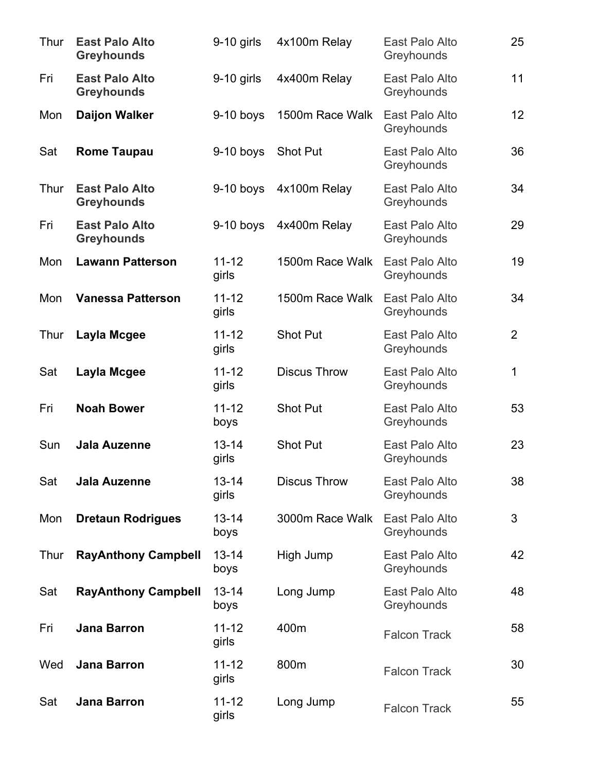| Thur | <b>East Palo Alto</b><br><b>Greyhounds</b> | $9-10$ girls       | 4x100m Relay        | East Palo Alto<br>Greyhounds | 25             |
|------|--------------------------------------------|--------------------|---------------------|------------------------------|----------------|
| Fri  | <b>East Palo Alto</b><br><b>Greyhounds</b> | $9-10$ girls       | 4x400m Relay        | East Palo Alto<br>Greyhounds | 11             |
| Mon  | <b>Daijon Walker</b>                       | $9-10$ boys        | 1500m Race Walk     | East Palo Alto<br>Greyhounds | 12             |
| Sat  | <b>Rome Taupau</b>                         | $9-10$ boys        | <b>Shot Put</b>     | East Palo Alto<br>Greyhounds | 36             |
| Thur | <b>East Palo Alto</b><br><b>Greyhounds</b> | $9-10$ boys        | 4x100m Relay        | East Palo Alto<br>Greyhounds | 34             |
| Fri  | <b>East Palo Alto</b><br><b>Greyhounds</b> | $9-10$ boys        | 4x400m Relay        | East Palo Alto<br>Greyhounds | 29             |
| Mon  | <b>Lawann Patterson</b>                    | $11 - 12$<br>girls | 1500m Race Walk     | East Palo Alto<br>Greyhounds | 19             |
| Mon  | <b>Vanessa Patterson</b>                   | $11 - 12$<br>girls | 1500m Race Walk     | East Palo Alto<br>Greyhounds | 34             |
| Thur | Layla Mcgee                                | $11 - 12$<br>girls | <b>Shot Put</b>     | East Palo Alto<br>Greyhounds | $\overline{2}$ |
| Sat  | Layla Mcgee                                | $11 - 12$<br>girls | <b>Discus Throw</b> | East Palo Alto<br>Greyhounds | 1              |
| Fri  | <b>Noah Bower</b>                          | $11 - 12$<br>boys  | <b>Shot Put</b>     | East Palo Alto<br>Greyhounds | 53             |
| Sun  | <b>Jala Auzenne</b>                        | $13 - 14$<br>girls | <b>Shot Put</b>     | East Palo Alto<br>Greyhounds | 23             |
| Sat  | <b>Jala Auzenne</b>                        | $13 - 14$<br>girls | <b>Discus Throw</b> | East Palo Alto<br>Greyhounds | 38             |
| Mon  | <b>Dretaun Rodrigues</b>                   | $13 - 14$<br>boys  | 3000m Race Walk     | East Palo Alto<br>Greyhounds | 3              |
| Thur | <b>RayAnthony Campbell</b>                 | $13 - 14$<br>boys  | High Jump           | East Palo Alto<br>Greyhounds | 42             |
| Sat  | <b>RayAnthony Campbell</b>                 | $13 - 14$<br>boys  | Long Jump           | East Palo Alto<br>Greyhounds | 48             |
| Fri  | <b>Jana Barron</b>                         | $11 - 12$<br>girls | 400m                | <b>Falcon Track</b>          | 58             |
| Wed  | <b>Jana Barron</b>                         | $11 - 12$<br>girls | 800m                | <b>Falcon Track</b>          | 30             |
| Sat  | <b>Jana Barron</b>                         | $11 - 12$<br>girls | Long Jump           | <b>Falcon Track</b>          | 55             |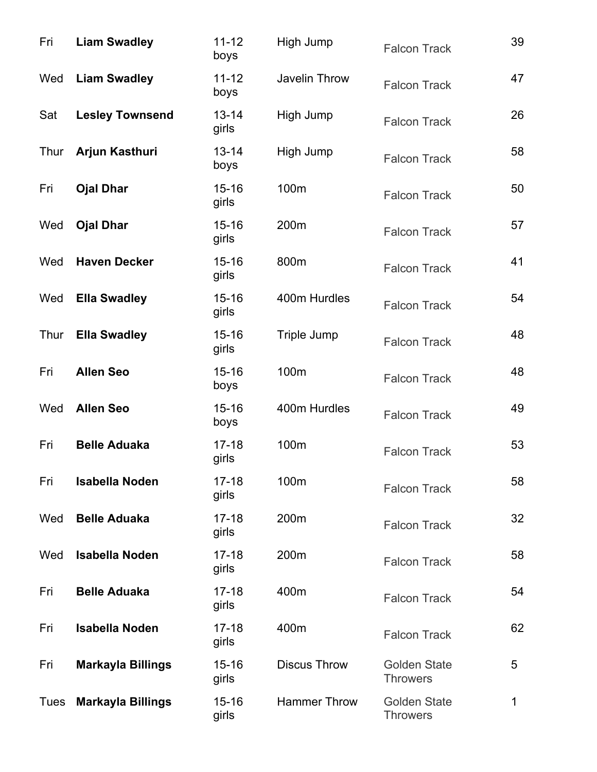| Fri  | <b>Liam Swadley</b>      | $11 - 12$<br>boys  | High Jump           | <b>Falcon Track</b>                    | 39 |
|------|--------------------------|--------------------|---------------------|----------------------------------------|----|
| Wed  | <b>Liam Swadley</b>      | $11 - 12$<br>boys  | Javelin Throw       | <b>Falcon Track</b>                    | 47 |
| Sat  | <b>Lesley Townsend</b>   | $13 - 14$<br>girls | High Jump           | <b>Falcon Track</b>                    | 26 |
| Thur | Arjun Kasthuri           | $13 - 14$<br>boys  | High Jump           | <b>Falcon Track</b>                    | 58 |
| Fri  | <b>Ojal Dhar</b>         | $15 - 16$<br>girls | 100m                | <b>Falcon Track</b>                    | 50 |
| Wed  | <b>Ojal Dhar</b>         | $15 - 16$<br>girls | 200m                | <b>Falcon Track</b>                    | 57 |
| Wed  | <b>Haven Decker</b>      | $15 - 16$<br>girls | 800m                | <b>Falcon Track</b>                    | 41 |
| Wed  | <b>Ella Swadley</b>      | $15 - 16$<br>girls | 400m Hurdles        | <b>Falcon Track</b>                    | 54 |
| Thur | <b>Ella Swadley</b>      | $15 - 16$<br>girls | Triple Jump         | <b>Falcon Track</b>                    | 48 |
| Fri  | <b>Allen Seo</b>         | $15 - 16$<br>boys  | 100m                | <b>Falcon Track</b>                    | 48 |
| Wed  | <b>Allen Seo</b>         | $15 - 16$<br>boys  | 400m Hurdles        | <b>Falcon Track</b>                    | 49 |
| Fri  | <b>Belle Aduaka</b>      | $17 - 18$<br>girls | 100m                | <b>Falcon Track</b>                    | 53 |
| Fri  | <b>Isabella Noden</b>    | $17 - 18$<br>girls | 100m                | <b>Falcon Track</b>                    | 58 |
| Wed  | <b>Belle Aduaka</b>      | $17 - 18$<br>girls | 200m                | <b>Falcon Track</b>                    | 32 |
| Wed  | <b>Isabella Noden</b>    | $17 - 18$<br>girls | 200m                | <b>Falcon Track</b>                    | 58 |
| Fri  | <b>Belle Aduaka</b>      | $17 - 18$<br>girls | 400m                | <b>Falcon Track</b>                    | 54 |
| Fri  | <b>Isabella Noden</b>    | $17 - 18$<br>girls | 400m                | <b>Falcon Track</b>                    | 62 |
| Fri  | <b>Markayla Billings</b> | $15 - 16$<br>girls | <b>Discus Throw</b> | <b>Golden State</b><br><b>Throwers</b> | 5  |
| Tues | <b>Markayla Billings</b> | $15 - 16$<br>girls | <b>Hammer Throw</b> | <b>Golden State</b><br><b>Throwers</b> | 1  |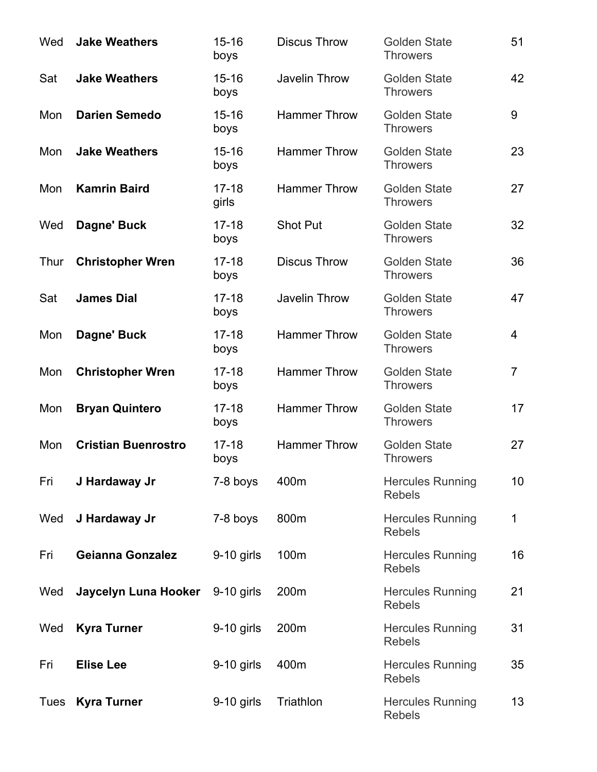| Wed  | <b>Jake Weathers</b>       | $15 - 16$<br>boys  | <b>Discus Throw</b> | <b>Golden State</b><br><b>Throwers</b>   | 51             |
|------|----------------------------|--------------------|---------------------|------------------------------------------|----------------|
| Sat  | <b>Jake Weathers</b>       | $15 - 16$<br>boys  | Javelin Throw       | <b>Golden State</b><br><b>Throwers</b>   | 42             |
| Mon  | <b>Darien Semedo</b>       | $15 - 16$<br>boys  | <b>Hammer Throw</b> | <b>Golden State</b><br><b>Throwers</b>   | 9              |
| Mon  | <b>Jake Weathers</b>       | $15 - 16$<br>boys  | Hammer Throw        | <b>Golden State</b><br><b>Throwers</b>   | 23             |
| Mon  | <b>Kamrin Baird</b>        | $17 - 18$<br>girls | <b>Hammer Throw</b> | <b>Golden State</b><br><b>Throwers</b>   | 27             |
| Wed  | Dagne' Buck                | $17 - 18$<br>boys  | <b>Shot Put</b>     | <b>Golden State</b><br><b>Throwers</b>   | 32             |
| Thur | <b>Christopher Wren</b>    | $17 - 18$<br>boys  | <b>Discus Throw</b> | <b>Golden State</b><br><b>Throwers</b>   | 36             |
| Sat  | <b>James Dial</b>          | $17 - 18$<br>boys  | Javelin Throw       | <b>Golden State</b><br><b>Throwers</b>   | 47             |
| Mon  | Dagne' Buck                | $17 - 18$<br>boys  | <b>Hammer Throw</b> | <b>Golden State</b><br><b>Throwers</b>   | 4              |
| Mon  | <b>Christopher Wren</b>    | $17 - 18$<br>boys  | <b>Hammer Throw</b> | <b>Golden State</b><br><b>Throwers</b>   | $\overline{7}$ |
| Mon  | <b>Bryan Quintero</b>      | $17 - 18$<br>boys  | <b>Hammer Throw</b> | <b>Golden State</b><br><b>Throwers</b>   | 17             |
| Mon  | <b>Cristian Buenrostro</b> | $17 - 18$<br>boys  | <b>Hammer Throw</b> | <b>Golden State</b><br><b>Throwers</b>   | 27             |
| Fri  | J Hardaway Jr              | 7-8 boys           | 400m                | <b>Hercules Running</b><br><b>Rebels</b> | 10             |
| Wed  | J Hardaway Jr              | 7-8 boys           | 800m                | <b>Hercules Running</b><br><b>Rebels</b> | 1              |
| Fri  | <b>Geianna Gonzalez</b>    | $9-10$ girls       | 100m                | <b>Hercules Running</b><br><b>Rebels</b> | 16             |
| Wed  | Jaycelyn Luna Hooker       | $9-10$ girls       | 200m                | <b>Hercules Running</b><br><b>Rebels</b> | 21             |
| Wed  | <b>Kyra Turner</b>         | $9-10$ girls       | 200m                | <b>Hercules Running</b><br><b>Rebels</b> | 31             |
| Fri  | <b>Elise Lee</b>           | $9-10$ girls       | 400m                | <b>Hercules Running</b><br><b>Rebels</b> | 35             |
| Tues | <b>Kyra Turner</b>         | $9-10$ girls       | Triathlon           | <b>Hercules Running</b><br><b>Rebels</b> | 13             |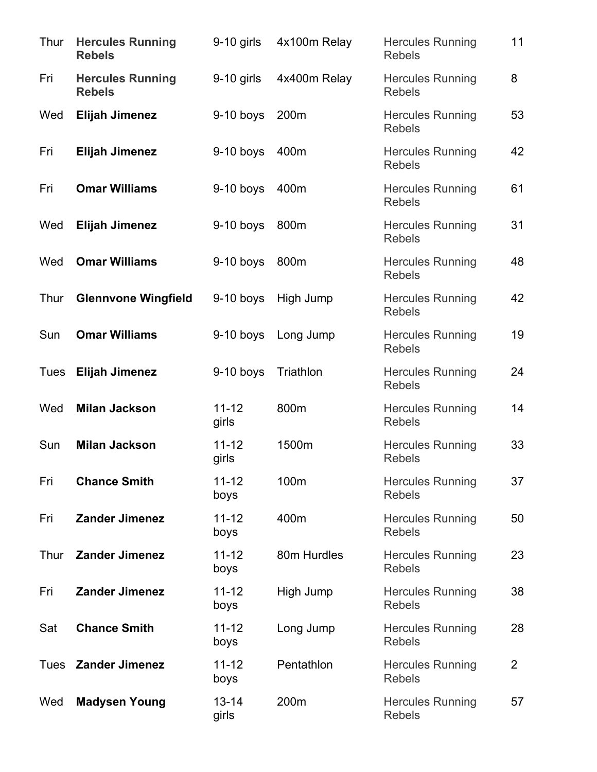| Thur | <b>Hercules Running</b><br><b>Rebels</b> | $9-10$ girls       | 4x100m Relay | <b>Hercules Running</b><br><b>Rebels</b> | 11             |
|------|------------------------------------------|--------------------|--------------|------------------------------------------|----------------|
| Fri  | <b>Hercules Running</b><br><b>Rebels</b> | $9-10$ girls       | 4x400m Relay | <b>Hercules Running</b><br><b>Rebels</b> | 8              |
| Wed  | <b>Elijah Jimenez</b>                    | $9-10$ boys        | 200m         | <b>Hercules Running</b><br><b>Rebels</b> | 53             |
| Fri  | <b>Elijah Jimenez</b>                    | $9-10$ boys        | 400m         | <b>Hercules Running</b><br><b>Rebels</b> | 42             |
| Fri  | <b>Omar Williams</b>                     | $9-10$ boys        | 400m         | <b>Hercules Running</b><br><b>Rebels</b> | 61             |
| Wed  | <b>Elijah Jimenez</b>                    | $9-10$ boys        | 800m         | <b>Hercules Running</b><br><b>Rebels</b> | 31             |
| Wed  | <b>Omar Williams</b>                     | $9-10$ boys        | 800m         | <b>Hercules Running</b><br><b>Rebels</b> | 48             |
| Thur | <b>Glennvone Wingfield</b>               | $9-10$ boys        | High Jump    | <b>Hercules Running</b><br><b>Rebels</b> | 42             |
| Sun  | <b>Omar Williams</b>                     | $9-10$ boys        | Long Jump    | <b>Hercules Running</b><br><b>Rebels</b> | 19             |
| Tues | <b>Elijah Jimenez</b>                    | $9-10$ boys        | Triathlon    | <b>Hercules Running</b><br><b>Rebels</b> | 24             |
| Wed  | <b>Milan Jackson</b>                     | $11 - 12$<br>girls | 800m         | <b>Hercules Running</b><br><b>Rebels</b> | 14             |
| Sun  | <b>Milan Jackson</b>                     | $11 - 12$<br>girls | 1500m        | <b>Hercules Running</b><br><b>Rebels</b> | 33             |
| Fri  | <b>Chance Smith</b>                      | $11 - 12$<br>boys  | 100m         | <b>Hercules Running</b><br><b>Rebels</b> | 37             |
| Fri  | <b>Zander Jimenez</b>                    | $11 - 12$<br>boys  | 400m         | <b>Hercules Running</b><br><b>Rebels</b> | 50             |
| Thur | <b>Zander Jimenez</b>                    | $11 - 12$<br>boys  | 80m Hurdles  | <b>Hercules Running</b><br><b>Rebels</b> | 23             |
| Fri  | <b>Zander Jimenez</b>                    | $11 - 12$<br>boys  | High Jump    | <b>Hercules Running</b><br><b>Rebels</b> | 38             |
| Sat  | <b>Chance Smith</b>                      | $11 - 12$<br>boys  | Long Jump    | <b>Hercules Running</b><br><b>Rebels</b> | 28             |
| Tues | <b>Zander Jimenez</b>                    | $11 - 12$<br>boys  | Pentathlon   | <b>Hercules Running</b><br><b>Rebels</b> | $\overline{2}$ |
| Wed  | <b>Madysen Young</b>                     | $13 - 14$<br>girls | 200m         | <b>Hercules Running</b><br><b>Rebels</b> | 57             |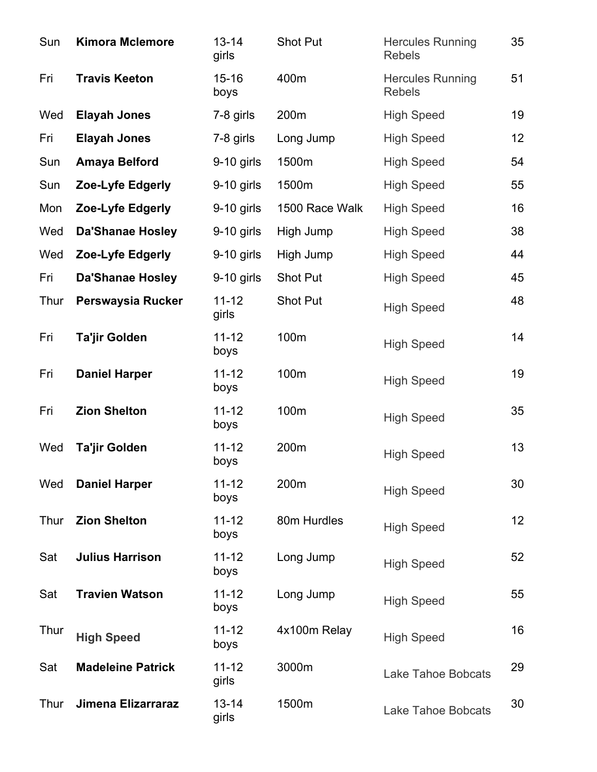| Sun  | <b>Kimora Mclemore</b>   | $13 - 14$<br>girls | Shot Put       | <b>Hercules Running</b><br><b>Rebels</b> | 35 |
|------|--------------------------|--------------------|----------------|------------------------------------------|----|
| Fri  | <b>Travis Keeton</b>     | $15 - 16$<br>boys  | 400m           | <b>Hercules Running</b><br><b>Rebels</b> | 51 |
| Wed  | <b>Elayah Jones</b>      | 7-8 girls          | 200m           | <b>High Speed</b>                        | 19 |
| Fri  | <b>Elayah Jones</b>      | 7-8 girls          | Long Jump      | <b>High Speed</b>                        | 12 |
| Sun  | <b>Amaya Belford</b>     | $9-10$ girls       | 1500m          | <b>High Speed</b>                        | 54 |
| Sun  | Zoe-Lyfe Edgerly         | $9-10$ girls       | 1500m          | <b>High Speed</b>                        | 55 |
| Mon  | Zoe-Lyfe Edgerly         | 9-10 girls         | 1500 Race Walk | <b>High Speed</b>                        | 16 |
| Wed  | <b>Da'Shanae Hosley</b>  | $9-10$ girls       | High Jump      | <b>High Speed</b>                        | 38 |
| Wed  | Zoe-Lyfe Edgerly         | $9-10$ girls       | High Jump      | <b>High Speed</b>                        | 44 |
| Fri  | <b>Da'Shanae Hosley</b>  | 9-10 girls         | Shot Put       | <b>High Speed</b>                        | 45 |
| Thur | Perswaysia Rucker        | $11 - 12$<br>girls | Shot Put       | <b>High Speed</b>                        | 48 |
| Fri  | <b>Ta'jir Golden</b>     | $11 - 12$<br>boys  | 100m           | <b>High Speed</b>                        | 14 |
| Fri  | <b>Daniel Harper</b>     | $11 - 12$<br>boys  | 100m           | <b>High Speed</b>                        | 19 |
| Fri  | <b>Zion Shelton</b>      | $11 - 12$<br>boys  | 100m           | <b>High Speed</b>                        | 35 |
| Wed  | Ta'jir Golden            | $11 - 12$<br>boys  | 200m           | <b>High Speed</b>                        | 13 |
| Wed  | <b>Daniel Harper</b>     | $11 - 12$<br>boys  | 200m           | <b>High Speed</b>                        | 30 |
| Thur | <b>Zion Shelton</b>      | $11 - 12$<br>boys  | 80m Hurdles    | <b>High Speed</b>                        | 12 |
| Sat  | <b>Julius Harrison</b>   | $11 - 12$<br>boys  | Long Jump      | <b>High Speed</b>                        | 52 |
| Sat  | <b>Travien Watson</b>    | $11 - 12$<br>boys  | Long Jump      | <b>High Speed</b>                        | 55 |
| Thur | <b>High Speed</b>        | $11 - 12$<br>boys  | 4x100m Relay   | <b>High Speed</b>                        | 16 |
| Sat  | <b>Madeleine Patrick</b> | $11 - 12$<br>girls | 3000m          | <b>Lake Tahoe Bobcats</b>                | 29 |
| Thur | Jimena Elizarraraz       | $13 - 14$<br>girls | 1500m          | <b>Lake Tahoe Bobcats</b>                | 30 |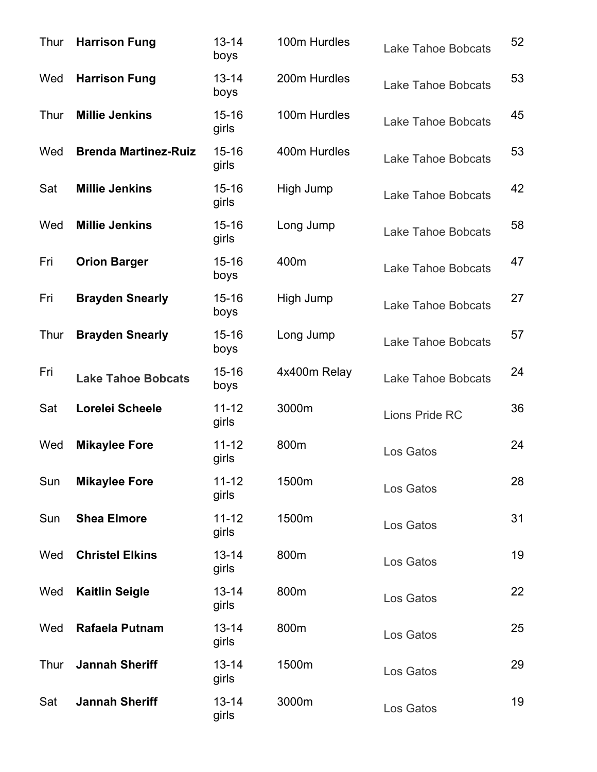| Thur | <b>Harrison Fung</b>        | $13 - 14$<br>boys  | 100m Hurdles | <b>Lake Tahoe Bobcats</b> | 52 |
|------|-----------------------------|--------------------|--------------|---------------------------|----|
| Wed  | <b>Harrison Fung</b>        | $13 - 14$<br>boys  | 200m Hurdles | <b>Lake Tahoe Bobcats</b> | 53 |
| Thur | <b>Millie Jenkins</b>       | $15 - 16$<br>girls | 100m Hurdles | <b>Lake Tahoe Bobcats</b> | 45 |
| Wed  | <b>Brenda Martinez-Ruiz</b> | $15 - 16$<br>girls | 400m Hurdles | <b>Lake Tahoe Bobcats</b> | 53 |
| Sat  | <b>Millie Jenkins</b>       | $15 - 16$<br>girls | High Jump    | <b>Lake Tahoe Bobcats</b> | 42 |
| Wed  | <b>Millie Jenkins</b>       | $15 - 16$<br>girls | Long Jump    | <b>Lake Tahoe Bobcats</b> | 58 |
| Fri  | <b>Orion Barger</b>         | $15 - 16$<br>boys  | 400m         | <b>Lake Tahoe Bobcats</b> | 47 |
| Fri  | <b>Brayden Snearly</b>      | $15 - 16$<br>boys  | High Jump    | <b>Lake Tahoe Bobcats</b> | 27 |
| Thur | <b>Brayden Snearly</b>      | $15 - 16$<br>boys  | Long Jump    | <b>Lake Tahoe Bobcats</b> | 57 |
| Fri  | <b>Lake Tahoe Bobcats</b>   | $15 - 16$<br>boys  | 4x400m Relay | <b>Lake Tahoe Bobcats</b> | 24 |
| Sat  | Lorelei Scheele             | $11 - 12$<br>girls | 3000m        | Lions Pride RC            | 36 |
| Wed  | <b>Mikaylee Fore</b>        | $11 - 12$<br>girls | 800m         | Los Gatos                 | 24 |
| Sun  | <b>Mikaylee Fore</b>        | $11 - 12$<br>girls | 1500m        | Los Gatos                 | 28 |
| Sun  | <b>Shea Elmore</b>          | $11 - 12$<br>girls | 1500m        | Los Gatos                 | 31 |
| Wed  | <b>Christel Elkins</b>      | $13 - 14$<br>girls | 800m         | Los Gatos                 | 19 |
| Wed  | <b>Kaitlin Seigle</b>       | $13 - 14$<br>girls | 800m         | Los Gatos                 | 22 |
| Wed  | Rafaela Putnam              | $13 - 14$<br>girls | 800m         | Los Gatos                 | 25 |
| Thur | <b>Jannah Sheriff</b>       | $13 - 14$<br>girls | 1500m        | Los Gatos                 | 29 |
| Sat  | <b>Jannah Sheriff</b>       | $13 - 14$<br>girls | 3000m        | Los Gatos                 | 19 |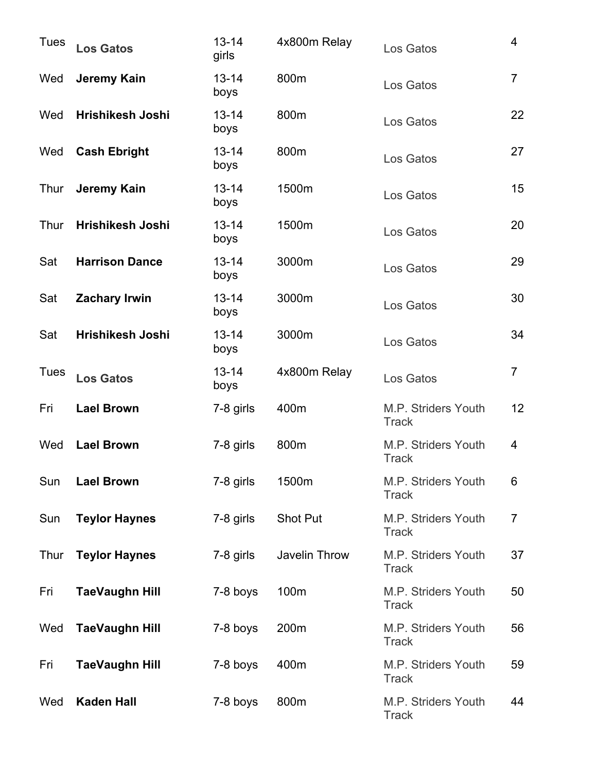| <b>Tues</b> | <b>Los Gatos</b>      | $13 - 14$<br>girls | 4x800m Relay    | Los Gatos                                  | 4              |
|-------------|-----------------------|--------------------|-----------------|--------------------------------------------|----------------|
| Wed         | Jeremy Kain           | $13 - 14$<br>boys  | 800m            | Los Gatos                                  | $\overline{7}$ |
| Wed         | Hrishikesh Joshi      | $13 - 14$<br>boys  | 800m            | Los Gatos                                  | 22             |
| Wed         | <b>Cash Ebright</b>   | $13 - 14$<br>boys  | 800m            | Los Gatos                                  | 27             |
| Thur        | Jeremy Kain           | $13 - 14$<br>boys  | 1500m           | Los Gatos                                  | 15             |
| Thur        | Hrishikesh Joshi      | $13 - 14$<br>boys  | 1500m           | Los Gatos                                  | 20             |
| Sat         | <b>Harrison Dance</b> | $13 - 14$<br>boys  | 3000m           | Los Gatos                                  | 29             |
| Sat         | <b>Zachary Irwin</b>  | $13 - 14$<br>boys  | 3000m           | Los Gatos                                  | 30             |
| Sat         | Hrishikesh Joshi      | $13 - 14$<br>boys  | 3000m           | Los Gatos                                  | 34             |
| <b>Tues</b> | <b>Los Gatos</b>      | $13 - 14$<br>boys  | 4x800m Relay    | Los Gatos                                  | $\overline{7}$ |
| Fri         | <b>Lael Brown</b>     | 7-8 girls          | 400m            | M.P. Striders Youth<br><b>Track</b>        | 12             |
| Wed         | <b>Lael Brown</b>     | 7-8 girls          | 800m            | <b>M.P. Striders Youth</b><br><b>Track</b> | 4              |
| Sun         | <b>Lael Brown</b>     | 7-8 girls          | 1500m           | <b>M.P. Striders Youth</b><br><b>Track</b> | 6              |
| Sun         | <b>Teylor Haynes</b>  | 7-8 girls          | <b>Shot Put</b> | <b>M.P. Striders Youth</b><br><b>Track</b> | 7              |
| Thur        | <b>Teylor Haynes</b>  | 7-8 girls          | Javelin Throw   | M.P. Striders Youth<br><b>Track</b>        | 37             |
| Fri         | <b>TaeVaughn Hill</b> | 7-8 boys           | 100m            | M.P. Striders Youth<br><b>Track</b>        | 50             |
| Wed         | <b>TaeVaughn Hill</b> | 7-8 boys           | 200m            | <b>M.P. Striders Youth</b><br><b>Track</b> | 56             |
| Fri         | <b>TaeVaughn Hill</b> | 7-8 boys           | 400m            | <b>M.P. Striders Youth</b><br><b>Track</b> | 59             |
| Wed         | <b>Kaden Hall</b>     | 7-8 boys           | 800m            | M.P. Striders Youth<br><b>Track</b>        | 44             |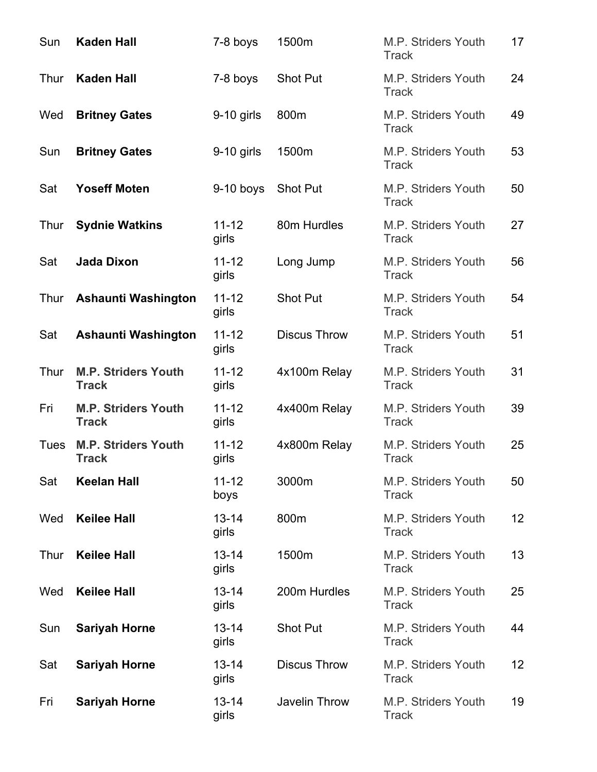| Sun  | <b>Kaden Hall</b>                          | 7-8 boys           | 1500m               | M.P. Striders Youth<br><b>Track</b>        | 17 |
|------|--------------------------------------------|--------------------|---------------------|--------------------------------------------|----|
| Thur | <b>Kaden Hall</b>                          | 7-8 boys           | <b>Shot Put</b>     | M.P. Striders Youth<br><b>Track</b>        | 24 |
| Wed  | <b>Britney Gates</b>                       | $9-10$ girls       | 800m                | M.P. Striders Youth<br><b>Track</b>        | 49 |
| Sun  | <b>Britney Gates</b>                       | $9-10$ girls       | 1500m               | M.P. Striders Youth<br><b>Track</b>        | 53 |
| Sat  | <b>Yoseff Moten</b>                        | $9-10$ boys        | <b>Shot Put</b>     | M.P. Striders Youth<br><b>Track</b>        | 50 |
| Thur | <b>Sydnie Watkins</b>                      | $11 - 12$<br>girls | 80m Hurdles         | M.P. Striders Youth<br><b>Track</b>        | 27 |
| Sat  | <b>Jada Dixon</b>                          | $11 - 12$<br>girls | Long Jump           | <b>M.P. Striders Youth</b><br><b>Track</b> | 56 |
| Thur | <b>Ashaunti Washington</b>                 | $11 - 12$<br>girls | <b>Shot Put</b>     | M.P. Striders Youth<br><b>Track</b>        | 54 |
| Sat  | <b>Ashaunti Washington</b>                 | $11 - 12$<br>girls | <b>Discus Throw</b> | M.P. Striders Youth<br><b>Track</b>        | 51 |
| Thur | <b>M.P. Striders Youth</b><br><b>Track</b> | $11 - 12$<br>girls | 4x100m Relay        | M.P. Striders Youth<br><b>Track</b>        | 31 |
| Fri  | <b>M.P. Striders Youth</b><br><b>Track</b> | $11 - 12$<br>girls | 4x400m Relay        | M.P. Striders Youth<br><b>Track</b>        | 39 |
| Tues | <b>M.P. Striders Youth</b><br><b>Track</b> | $11 - 12$<br>girls | 4x800m Relay        | M.P. Striders Youth<br><b>Track</b>        | 25 |
| Sat  | <b>Keelan Hall</b>                         | $11 - 12$<br>boys  | 3000m               | M.P. Striders Youth<br><b>Track</b>        | 50 |
| Wed  | <b>Keilee Hall</b>                         | $13 - 14$<br>girls | 800m                | M.P. Striders Youth<br><b>Track</b>        | 12 |
| Thur | <b>Keilee Hall</b>                         | $13 - 14$<br>girls | 1500m               | M.P. Striders Youth<br><b>Track</b>        | 13 |
| Wed  | <b>Keilee Hall</b>                         | $13 - 14$<br>girls | 200m Hurdles        | M.P. Striders Youth<br><b>Track</b>        | 25 |
| Sun  | <b>Sariyah Horne</b>                       | $13 - 14$<br>girls | <b>Shot Put</b>     | M.P. Striders Youth<br><b>Track</b>        | 44 |
| Sat  | <b>Sariyah Horne</b>                       | $13 - 14$<br>girls | <b>Discus Throw</b> | <b>M.P. Striders Youth</b><br><b>Track</b> | 12 |
| Fri  | <b>Sariyah Horne</b>                       | $13 - 14$<br>girls | Javelin Throw       | M.P. Striders Youth<br><b>Track</b>        | 19 |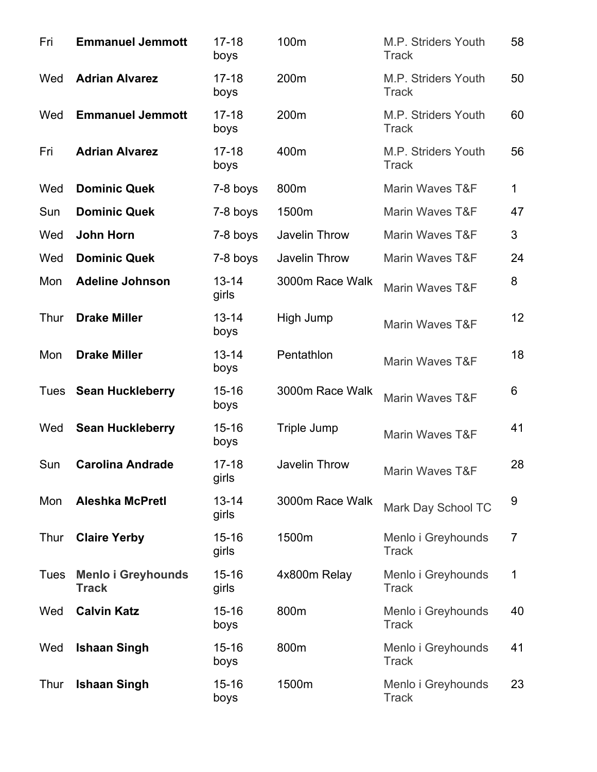| Fri  | <b>Emmanuel Jemmott</b>                   | $17 - 18$<br>boys  | 100m                 | M.P. Striders Youth<br><b>Track</b> | 58             |
|------|-------------------------------------------|--------------------|----------------------|-------------------------------------|----------------|
| Wed  | <b>Adrian Alvarez</b>                     | $17 - 18$<br>boys  | 200m                 | M.P. Striders Youth<br><b>Track</b> | 50             |
| Wed  | <b>Emmanuel Jemmott</b>                   | $17 - 18$<br>boys  | 200m                 | M.P. Striders Youth<br><b>Track</b> | 60             |
| Fri  | <b>Adrian Alvarez</b>                     | $17 - 18$<br>boys  | 400m                 | M.P. Striders Youth<br><b>Track</b> | 56             |
| Wed  | <b>Dominic Quek</b>                       | 7-8 boys           | 800m                 | <b>Marin Waves T&amp;F</b>          | $\mathbf{1}$   |
| Sun  | <b>Dominic Quek</b>                       | 7-8 boys           | 1500m                | <b>Marin Waves T&amp;F</b>          | 47             |
| Wed  | <b>John Horn</b>                          | 7-8 boys           | Javelin Throw        | Marin Waves T&F                     | 3              |
| Wed  | <b>Dominic Quek</b>                       | 7-8 boys           | Javelin Throw        | <b>Marin Waves T&amp;F</b>          | 24             |
| Mon  | <b>Adeline Johnson</b>                    | $13 - 14$<br>girls | 3000m Race Walk      | <b>Marin Waves T&amp;F</b>          | 8              |
| Thur | <b>Drake Miller</b>                       | $13 - 14$<br>boys  | High Jump            | Marin Waves T&F                     | 12             |
| Mon  | <b>Drake Miller</b>                       | $13 - 14$<br>boys  | Pentathlon           | Marin Waves T&F                     | 18             |
|      | Tues Sean Huckleberry                     | $15 - 16$<br>boys  | 3000m Race Walk      | <b>Marin Waves T&amp;F</b>          | 6              |
| Wed  | <b>Sean Huckleberry</b>                   | $15 - 16$<br>boys  | Triple Jump          | <b>Marin Waves T&amp;F</b>          | 41             |
| Sun  | <b>Carolina Andrade</b>                   | $17 - 18$<br>girls | <b>Javelin Throw</b> | Marin Waves T&F                     | 28             |
| Mon  | <b>Aleshka McPretl</b>                    | $13 - 14$<br>girls | 3000m Race Walk      | Mark Day School TC                  | 9              |
| Thur | <b>Claire Yerby</b>                       | $15 - 16$<br>girls | 1500m                | Menlo i Greyhounds<br><b>Track</b>  | $\overline{7}$ |
| Tues | <b>Menlo i Greyhounds</b><br><b>Track</b> | $15 - 16$<br>girls | 4x800m Relay         | Menlo i Greyhounds<br><b>Track</b>  | 1              |
| Wed  | <b>Calvin Katz</b>                        | $15 - 16$<br>boys  | 800m                 | Menlo i Greyhounds<br><b>Track</b>  | 40             |
| Wed  | <b>Ishaan Singh</b>                       | $15 - 16$<br>boys  | 800m                 | Menlo i Greyhounds<br><b>Track</b>  | 41             |
| Thur | <b>Ishaan Singh</b>                       | $15 - 16$<br>boys  | 1500m                | Menlo i Greyhounds<br><b>Track</b>  | 23             |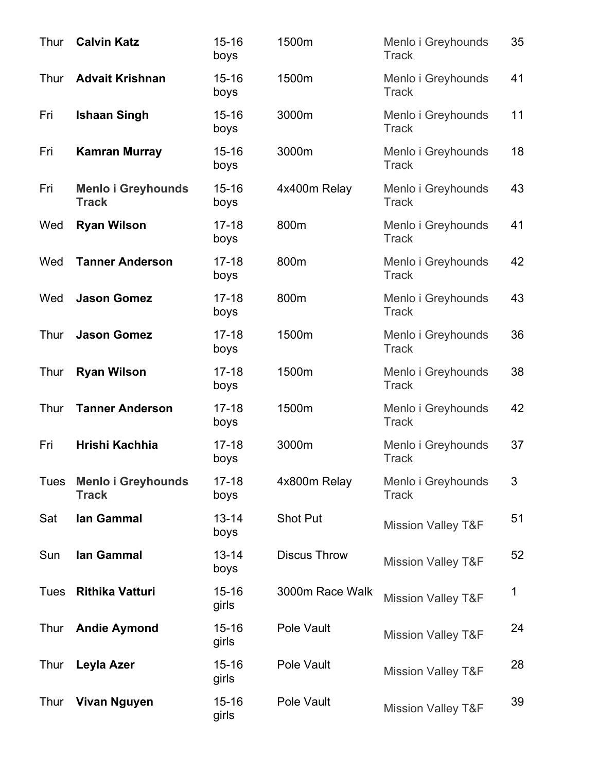| Thur | <b>Calvin Katz</b>                        | $15 - 16$<br>boys  | 1500m               | Menlo i Greyhounds<br><b>Track</b> | 35 |
|------|-------------------------------------------|--------------------|---------------------|------------------------------------|----|
| Thur | <b>Advait Krishnan</b>                    | $15 - 16$<br>boys  | 1500m               | Menlo i Greyhounds<br><b>Track</b> | 41 |
| Fri  | <b>Ishaan Singh</b>                       | $15 - 16$<br>boys  | 3000m               | Menlo i Greyhounds<br><b>Track</b> | 11 |
| Fri  | <b>Kamran Murray</b>                      | $15 - 16$<br>boys  | 3000m               | Menlo i Greyhounds<br><b>Track</b> | 18 |
| Fri  | <b>Menlo i Greyhounds</b><br><b>Track</b> | $15 - 16$<br>boys  | 4x400m Relay        | Menlo i Greyhounds<br><b>Track</b> | 43 |
| Wed  | <b>Ryan Wilson</b>                        | $17 - 18$<br>boys  | 800m                | Menlo i Greyhounds<br><b>Track</b> | 41 |
| Wed  | <b>Tanner Anderson</b>                    | $17 - 18$<br>boys  | 800m                | Menlo i Greyhounds<br><b>Track</b> | 42 |
| Wed  | <b>Jason Gomez</b>                        | $17 - 18$<br>boys  | 800m                | Menlo i Greyhounds<br><b>Track</b> | 43 |
| Thur | <b>Jason Gomez</b>                        | $17 - 18$<br>boys  | 1500m               | Menlo i Greyhounds<br><b>Track</b> | 36 |
| Thur | <b>Ryan Wilson</b>                        | $17 - 18$<br>boys  | 1500m               | Menlo i Greyhounds<br><b>Track</b> | 38 |
| Thur | <b>Tanner Anderson</b>                    | $17 - 18$<br>boys  | 1500m               | Menlo i Greyhounds<br><b>Track</b> | 42 |
| Fri  | Hrishi Kachhia                            | $17 - 18$<br>boys  | 3000m               | Menlo i Greyhounds<br><b>Track</b> | 37 |
| Tues | <b>Menlo i Greyhounds</b><br><b>Track</b> | $17 - 18$<br>boys  | 4x800m Relay        | Menlo i Greyhounds<br><b>Track</b> | 3  |
| Sat  | lan Gammal                                | $13 - 14$<br>boys  | <b>Shot Put</b>     | <b>Mission Valley T&amp;F</b>      | 51 |
| Sun  | lan Gammal                                | $13 - 14$<br>boys  | <b>Discus Throw</b> | <b>Mission Valley T&amp;F</b>      | 52 |
| Tues | <b>Rithika Vatturi</b>                    | $15 - 16$<br>girls | 3000m Race Walk     | <b>Mission Valley T&amp;F</b>      | 1  |
| Thur | <b>Andie Aymond</b>                       | $15 - 16$<br>girls | Pole Vault          | <b>Mission Valley T&amp;F</b>      | 24 |
| Thur | Leyla Azer                                | $15 - 16$<br>girls | Pole Vault          | <b>Mission Valley T&amp;F</b>      | 28 |
| Thur | <b>Vivan Nguyen</b>                       | $15 - 16$<br>girls | Pole Vault          | <b>Mission Valley T&amp;F</b>      | 39 |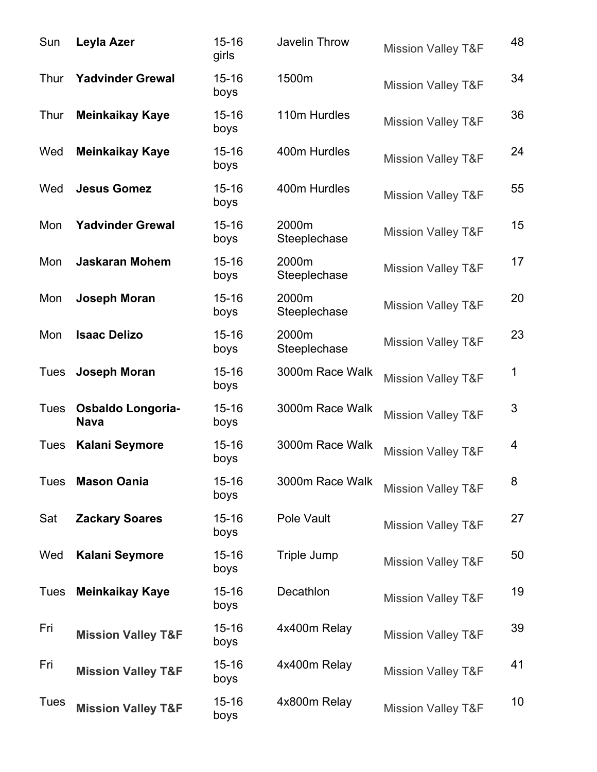| Sun         | Leyla Azer                              | $15 - 16$<br>girls | Javelin Throw         | <b>Mission Valley T&amp;F</b> | 48 |
|-------------|-----------------------------------------|--------------------|-----------------------|-------------------------------|----|
| Thur        | <b>Yadvinder Grewal</b>                 | $15 - 16$<br>boys  | 1500m                 | <b>Mission Valley T&amp;F</b> | 34 |
| Thur        | <b>Meinkaikay Kaye</b>                  | $15 - 16$<br>boys  | 110m Hurdles          | <b>Mission Valley T&amp;F</b> | 36 |
| Wed         | <b>Meinkaikay Kaye</b>                  | $15 - 16$<br>boys  | 400m Hurdles          | <b>Mission Valley T&amp;F</b> | 24 |
| Wed         | <b>Jesus Gomez</b>                      | $15 - 16$<br>boys  | 400m Hurdles          | <b>Mission Valley T&amp;F</b> | 55 |
| Mon         | <b>Yadvinder Grewal</b>                 | $15 - 16$<br>boys  | 2000m<br>Steeplechase | <b>Mission Valley T&amp;F</b> | 15 |
| Mon         | <b>Jaskaran Mohem</b>                   | $15 - 16$<br>boys  | 2000m<br>Steeplechase | <b>Mission Valley T&amp;F</b> | 17 |
| Mon         | Joseph Moran                            | $15 - 16$<br>boys  | 2000m<br>Steeplechase | <b>Mission Valley T&amp;F</b> | 20 |
| Mon         | <b>Isaac Delizo</b>                     | $15 - 16$<br>boys  | 2000m<br>Steeplechase | <b>Mission Valley T&amp;F</b> | 23 |
| Tues        | Joseph Moran                            | $15 - 16$<br>boys  | 3000m Race Walk       | <b>Mission Valley T&amp;F</b> | 1  |
| Tues        | <b>Osbaldo Longoria-</b><br><b>Nava</b> | $15 - 16$<br>boys  | 3000m Race Walk       | <b>Mission Valley T&amp;F</b> | 3  |
| Tues        | <b>Kalani Seymore</b>                   | $15 - 16$<br>boys  | 3000m Race Walk       | <b>Mission Valley T&amp;F</b> | 4  |
| Tues        | <b>Mason Oania</b>                      | $15 - 16$<br>boys  | 3000m Race Walk       | <b>Mission Valley T&amp;F</b> | 8  |
| Sat         | <b>Zackary Soares</b>                   | $15 - 16$<br>boys  | Pole Vault            | <b>Mission Valley T&amp;F</b> | 27 |
| Wed         | <b>Kalani Seymore</b>                   | $15 - 16$<br>boys  | Triple Jump           | <b>Mission Valley T&amp;F</b> | 50 |
| Tues        | <b>Meinkaikay Kaye</b>                  | $15 - 16$<br>boys  | Decathlon             | <b>Mission Valley T&amp;F</b> | 19 |
| Fri         | <b>Mission Valley T&amp;F</b>           | $15 - 16$<br>boys  | 4x400m Relay          | <b>Mission Valley T&amp;F</b> | 39 |
| Fri         | <b>Mission Valley T&amp;F</b>           | $15 - 16$<br>boys  | 4x400m Relay          | <b>Mission Valley T&amp;F</b> | 41 |
| <b>Tues</b> | <b>Mission Valley T&amp;F</b>           | $15 - 16$<br>boys  | 4x800m Relay          | <b>Mission Valley T&amp;F</b> | 10 |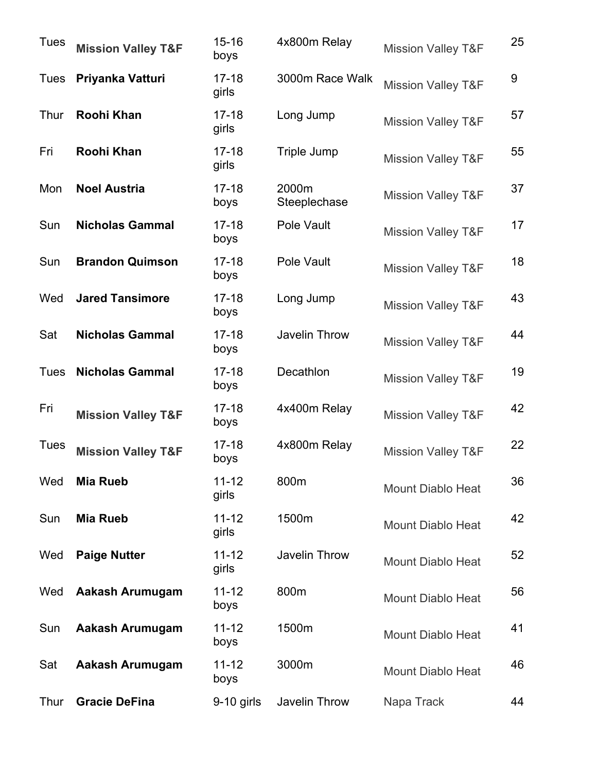| <b>Tues</b> | <b>Mission Valley T&amp;F</b> | $15 - 16$<br>boys  | 4x800m Relay          | <b>Mission Valley T&amp;F</b> | 25 |
|-------------|-------------------------------|--------------------|-----------------------|-------------------------------|----|
| <b>Tues</b> | Priyanka Vatturi              | $17 - 18$<br>girls | 3000m Race Walk       | <b>Mission Valley T&amp;F</b> | 9  |
| Thur        | Roohi Khan                    | $17 - 18$<br>girls | Long Jump             | <b>Mission Valley T&amp;F</b> | 57 |
| Fri         | Roohi Khan                    | $17 - 18$<br>girls | Triple Jump           | <b>Mission Valley T&amp;F</b> | 55 |
| Mon         | <b>Noel Austria</b>           | $17 - 18$<br>boys  | 2000m<br>Steeplechase | <b>Mission Valley T&amp;F</b> | 37 |
| Sun         | <b>Nicholas Gammal</b>        | $17 - 18$<br>boys  | Pole Vault            | <b>Mission Valley T&amp;F</b> | 17 |
| Sun         | <b>Brandon Quimson</b>        | $17 - 18$<br>boys  | Pole Vault            | <b>Mission Valley T&amp;F</b> | 18 |
| Wed         | <b>Jared Tansimore</b>        | $17 - 18$<br>boys  | Long Jump             | <b>Mission Valley T&amp;F</b> | 43 |
| Sat         | <b>Nicholas Gammal</b>        | $17 - 18$<br>boys  | Javelin Throw         | <b>Mission Valley T&amp;F</b> | 44 |
| Tues        | <b>Nicholas Gammal</b>        | $17 - 18$<br>boys  | Decathlon             | <b>Mission Valley T&amp;F</b> | 19 |
| Fri         | <b>Mission Valley T&amp;F</b> | $17 - 18$<br>boys  | 4x400m Relay          | <b>Mission Valley T&amp;F</b> | 42 |
| Tues        | <b>Mission Valley T&amp;F</b> | $17 - 18$<br>boys  | 4x800m Relay          | <b>Mission Valley T&amp;F</b> | 22 |
| Wed         | <b>Mia Rueb</b>               | $11 - 12$<br>girls | 800m                  | <b>Mount Diablo Heat</b>      | 36 |
| Sun         | <b>Mia Rueb</b>               | $11 - 12$<br>girls | 1500m                 | <b>Mount Diablo Heat</b>      | 42 |
| Wed         | <b>Paige Nutter</b>           | $11 - 12$<br>girls | Javelin Throw         | <b>Mount Diablo Heat</b>      | 52 |
| Wed         | Aakash Arumugam               | $11 - 12$<br>boys  | 800m                  | <b>Mount Diablo Heat</b>      | 56 |
| Sun         | Aakash Arumugam               | $11 - 12$<br>boys  | 1500m                 | <b>Mount Diablo Heat</b>      | 41 |
| Sat         | <b>Aakash Arumugam</b>        | $11 - 12$<br>boys  | 3000m                 | <b>Mount Diablo Heat</b>      | 46 |
| Thur        | <b>Gracie DeFina</b>          | 9-10 girls         | Javelin Throw         | Napa Track                    | 44 |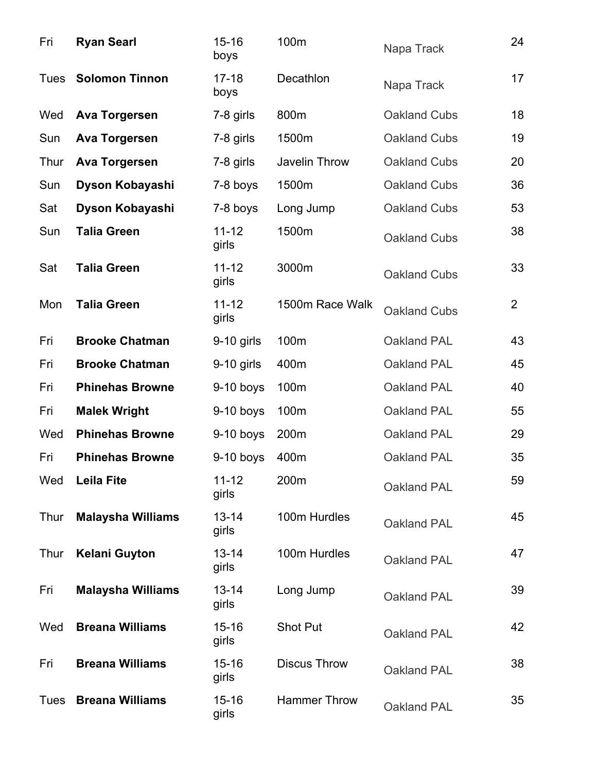| Fri         | <b>Ryan Searl</b>        | $15 - 16$<br>boys  | 100m                | Napa Track          | 24             |
|-------------|--------------------------|--------------------|---------------------|---------------------|----------------|
| Tues        | <b>Solomon Tinnon</b>    | $17 - 18$<br>boys  | Decathlon           | Napa Track          | 17             |
| Wed         | <b>Ava Torgersen</b>     | 7-8 girls          | 800m                | Oakland Cubs        | 18             |
| Sun         | <b>Ava Torgersen</b>     | 7-8 girls          | 1500m               | <b>Oakland Cubs</b> | 19             |
| Thur        | <b>Ava Torgersen</b>     | 7-8 girls          | Javelin Throw       | <b>Oakland Cubs</b> | 20             |
| Sun         | Dyson Kobayashi          | 7-8 boys           | 1500m               | <b>Oakland Cubs</b> | 36             |
| Sat         | Dyson Kobayashi          | 7-8 boys           | Long Jump           | <b>Oakland Cubs</b> | 53             |
| Sun         | <b>Talia Green</b>       | $11 - 12$<br>girls | 1500m               | Oakland Cubs        | 38             |
| Sat         | <b>Talia Green</b>       | $11 - 12$<br>girls | 3000m               | <b>Oakland Cubs</b> | 33             |
| Mon         | <b>Talia Green</b>       | $11 - 12$<br>girls | 1500m Race Walk     | Oakland Cubs        | $\overline{2}$ |
| Fri         | <b>Brooke Chatman</b>    | $9-10$ girls       | 100m                | Oakland PAL         | 43             |
| Fri         | <b>Brooke Chatman</b>    | $9-10$ girls       | 400m                | Oakland PAL         | 45             |
| Fri         | <b>Phinehas Browne</b>   | $9-10$ boys        | 100m                | Oakland PAL         | 40             |
| Fri         | <b>Malek Wright</b>      | $9-10$ boys        | 100m                | Oakland PAL         | 55             |
| Wed         | <b>Phinehas Browne</b>   | $9-10$ boys        | 200m                | <b>Oakland PAL</b>  | 29             |
| Fri         | <b>Phinehas Browne</b>   | $9-10$ boys        | 400m                | Oakland PAL         | 35             |
| Wed         | <b>Leila Fite</b>        | $11 - 12$<br>girls | 200m                | <b>Oakland PAL</b>  | 59             |
| Thur        | <b>Malaysha Williams</b> | $13 - 14$<br>girls | 100m Hurdles        | Oakland PAL         | 45             |
| Thur        | <b>Kelani Guyton</b>     | $13 - 14$<br>girls | 100m Hurdles        | Oakland PAL         | 47             |
| Fri         | <b>Malaysha Williams</b> | $13 - 14$<br>girls | Long Jump           | Oakland PAL         | 39             |
| Wed         | <b>Breana Williams</b>   | $15 - 16$<br>girls | <b>Shot Put</b>     | Oakland PAL         | 42             |
| Fri         | <b>Breana Williams</b>   | $15 - 16$<br>girls | <b>Discus Throw</b> | Oakland PAL         | 38             |
| <b>Tues</b> | <b>Breana Williams</b>   | $15 - 16$<br>girls | <b>Hammer Throw</b> | Oakland PAL         | 35             |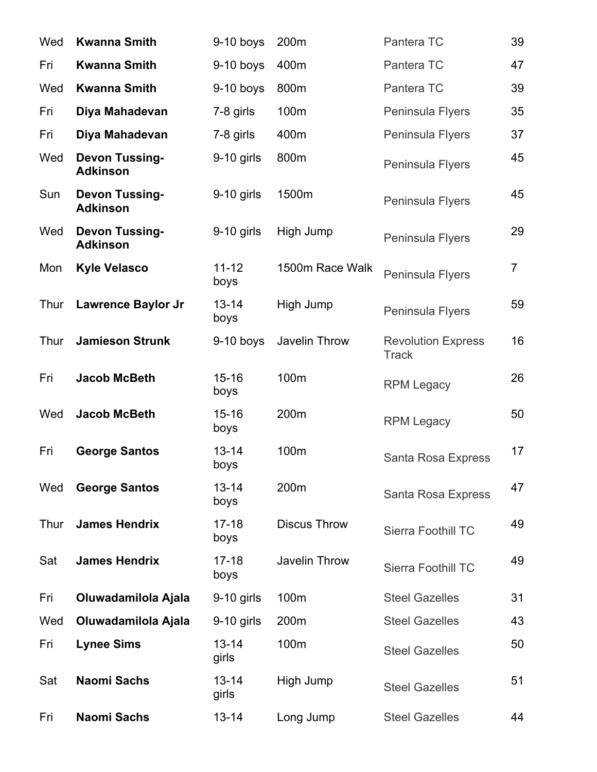| Wed  | <b>Kwanna Smith</b>                      | $9-10$ boys        | 200m                | Pantera TC                                | 39             |
|------|------------------------------------------|--------------------|---------------------|-------------------------------------------|----------------|
| Fri  | <b>Kwanna Smith</b>                      | $9-10$ boys        | 400m                | Pantera TC                                | 47             |
| Wed  | <b>Kwanna Smith</b>                      | $9-10$ boys        | 800m                | Pantera TC                                | 39             |
| Fri  | Diya Mahadevan                           | 7-8 girls          | 100m                | Peninsula Flyers                          | 35             |
| Fri  | Diya Mahadevan                           | 7-8 girls          | 400m                | Peninsula Flyers                          | 37             |
| Wed  | <b>Devon Tussing-</b><br><b>Adkinson</b> | $9-10$ girls       | 800m                | Peninsula Flyers                          | 45             |
| Sun  | <b>Devon Tussing-</b><br><b>Adkinson</b> | $9-10$ girls       | 1500m               | Peninsula Flyers                          | 45             |
| Wed  | <b>Devon Tussing-</b><br><b>Adkinson</b> | $9-10$ girls       | High Jump           | Peninsula Flyers                          | 29             |
| Mon  | <b>Kyle Velasco</b>                      | $11 - 12$<br>boys  | 1500m Race Walk     | Peninsula Flyers                          | $\overline{7}$ |
| Thur | <b>Lawrence Baylor Jr</b>                | $13 - 14$<br>boys  | High Jump           | Peninsula Flyers                          | 59             |
| Thur | <b>Jamieson Strunk</b>                   | $9-10$ boys        | Javelin Throw       | <b>Revolution Express</b><br><b>Track</b> | 16             |
| Fri  | <b>Jacob McBeth</b>                      | $15 - 16$<br>boys  | 100m                | <b>RPM Legacy</b>                         | 26             |
| Wed  | <b>Jacob McBeth</b>                      | $15 - 16$<br>boys  | 200m                | <b>RPM Legacy</b>                         | 50             |
| Fri  | <b>George Santos</b>                     | $13 - 14$<br>boys  | 100m                | Santa Rosa Express                        | 17             |
| Wed  | <b>George Santos</b>                     | $13 - 14$<br>boys  | 200m                | Santa Rosa Express                        | 47             |
| Thur | <b>James Hendrix</b>                     | $17 - 18$<br>boys  | <b>Discus Throw</b> | <b>Sierra Foothill TC</b>                 | 49             |
| Sat  | <b>James Hendrix</b>                     | $17 - 18$<br>boys  | Javelin Throw       | Sierra Foothill TC                        | 49             |
| Fri  | Oluwadamilola Ajala                      | $9-10$ girls       | 100m                | <b>Steel Gazelles</b>                     | 31             |
| Wed  | Oluwadamilola Ajala                      | $9-10$ girls       | 200m                | <b>Steel Gazelles</b>                     | 43             |
| Fri  | <b>Lynee Sims</b>                        | $13 - 14$<br>girls | 100m                | <b>Steel Gazelles</b>                     | 50             |
| Sat  | <b>Naomi Sachs</b>                       | $13 - 14$<br>girls | High Jump           | <b>Steel Gazelles</b>                     | 51             |
| Fri  | <b>Naomi Sachs</b>                       | $13 - 14$          | Long Jump           | <b>Steel Gazelles</b>                     | 44             |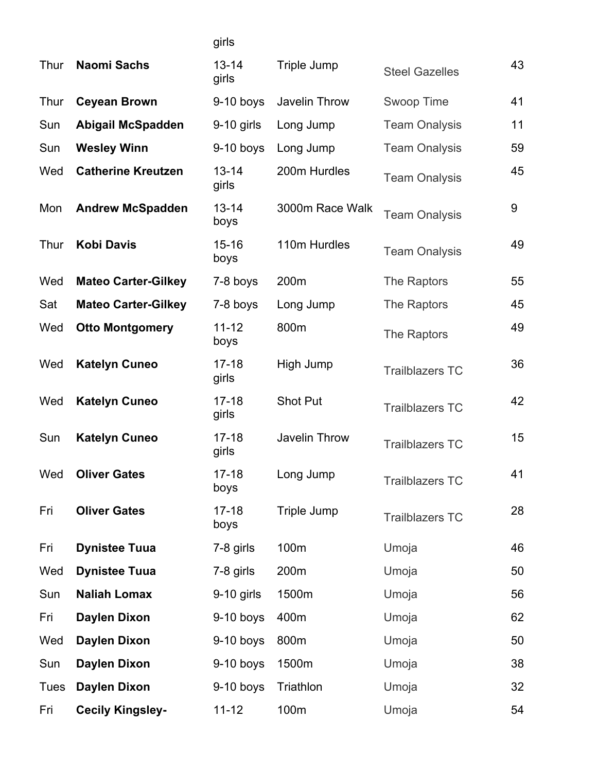|             |                            | girls              |                      |                        |    |
|-------------|----------------------------|--------------------|----------------------|------------------------|----|
| Thur        | <b>Naomi Sachs</b>         | $13 - 14$<br>girls | Triple Jump          | <b>Steel Gazelles</b>  | 43 |
| Thur        | <b>Ceyean Brown</b>        | $9-10$ boys        | Javelin Throw        | Swoop Time             | 41 |
| Sun         | <b>Abigail McSpadden</b>   | $9-10$ girls       | Long Jump            | <b>Team Onalysis</b>   | 11 |
| Sun         | <b>Wesley Winn</b>         | $9-10$ boys        | Long Jump            | <b>Team Onalysis</b>   | 59 |
| Wed         | <b>Catherine Kreutzen</b>  | $13 - 14$<br>girls | 200m Hurdles         | <b>Team Onalysis</b>   | 45 |
| Mon         | <b>Andrew McSpadden</b>    | $13 - 14$<br>boys  | 3000m Race Walk      | <b>Team Onalysis</b>   | 9  |
| Thur        | <b>Kobi Davis</b>          | $15 - 16$<br>boys  | 110m Hurdles         | <b>Team Onalysis</b>   | 49 |
| Wed         | <b>Mateo Carter-Gilkey</b> | 7-8 boys           | 200m                 | The Raptors            | 55 |
| Sat         | <b>Mateo Carter-Gilkey</b> | 7-8 boys           | Long Jump            | The Raptors            | 45 |
| Wed         | <b>Otto Montgomery</b>     | $11 - 12$<br>boys  | 800m                 | The Raptors            | 49 |
| Wed         | <b>Katelyn Cuneo</b>       | $17 - 18$<br>girls | High Jump            | <b>Trailblazers TC</b> | 36 |
| Wed         | <b>Katelyn Cuneo</b>       | $17 - 18$<br>girls | <b>Shot Put</b>      | <b>Trailblazers TC</b> | 42 |
| Sun         | <b>Katelyn Cuneo</b>       | $17 - 18$<br>girls | <b>Javelin Throw</b> | <b>Trailblazers TC</b> | 15 |
| Wed         | <b>Oliver Gates</b>        | $17 - 18$<br>boys  | Long Jump            | <b>Trailblazers TC</b> | 41 |
| Fri         | <b>Oliver Gates</b>        | $17 - 18$<br>boys  | Triple Jump          | <b>Trailblazers TC</b> | 28 |
| Fri         | <b>Dynistee Tuua</b>       | 7-8 girls          | 100m                 | Umoja                  | 46 |
| Wed         | <b>Dynistee Tuua</b>       | 7-8 girls          | 200m                 | Umoja                  | 50 |
| Sun         | <b>Naliah Lomax</b>        | 9-10 girls         | 1500m                | Umoja                  | 56 |
| Fri         | <b>Daylen Dixon</b>        | $9-10$ boys        | 400m                 | Umoja                  | 62 |
| Wed         | <b>Daylen Dixon</b>        | $9-10$ boys        | 800m                 | Umoja                  | 50 |
| Sun         | <b>Daylen Dixon</b>        | $9-10$ boys        | 1500m                | Umoja                  | 38 |
| <b>Tues</b> | <b>Daylen Dixon</b>        | $9-10$ boys        | Triathlon            | Umoja                  | 32 |
| Fri         | <b>Cecily Kingsley-</b>    | $11 - 12$          | 100m                 | Umoja                  | 54 |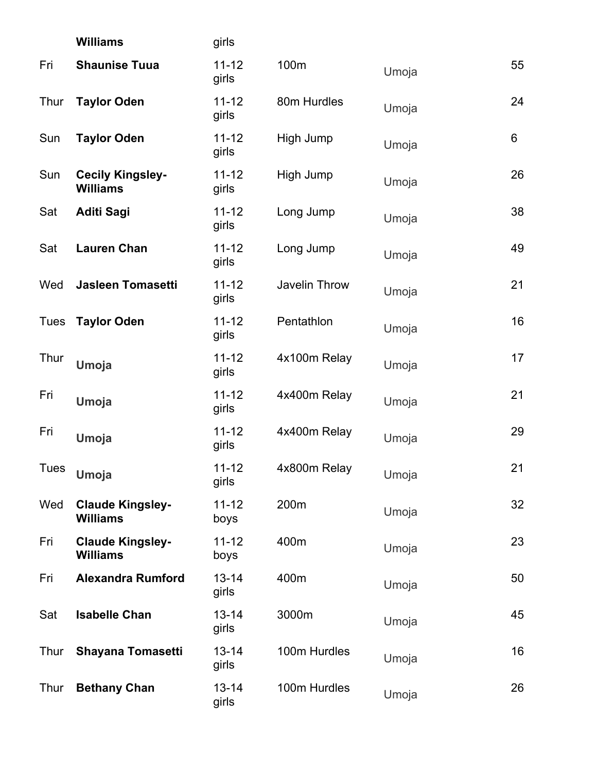|             | <b>Williams</b>                            | girls              |               |       |                |
|-------------|--------------------------------------------|--------------------|---------------|-------|----------------|
| Fri         | <b>Shaunise Tuua</b>                       | $11 - 12$<br>girls | 100m          | Umoja | 55             |
| Thur        | <b>Taylor Oden</b>                         | $11 - 12$<br>girls | 80m Hurdles   | Umoja | 24             |
| Sun         | <b>Taylor Oden</b>                         | $11 - 12$<br>girls | High Jump     | Umoja | $6\phantom{1}$ |
| Sun         | <b>Cecily Kingsley-</b><br><b>Williams</b> | $11 - 12$<br>girls | High Jump     | Umoja | 26             |
| Sat         | <b>Aditi Sagi</b>                          | $11 - 12$<br>girls | Long Jump     | Umoja | 38             |
| Sat         | <b>Lauren Chan</b>                         | $11 - 12$<br>girls | Long Jump     | Umoja | 49             |
| Wed         | <b>Jasleen Tomasetti</b>                   | $11 - 12$<br>girls | Javelin Throw | Umoja | 21             |
| <b>Tues</b> | <b>Taylor Oden</b>                         | $11 - 12$<br>girls | Pentathlon    | Umoja | 16             |
| Thur        | Umoja                                      | $11 - 12$<br>girls | 4x100m Relay  | Umoja | 17             |
| Fri         | Umoja                                      | $11 - 12$<br>girls | 4x400m Relay  | Umoja | 21             |
| Fri         | Umoja                                      | $11 - 12$<br>girls | 4x400m Relay  | Umoja | 29             |
| <b>Tues</b> | Umoja                                      | $11 - 12$<br>girls | 4x800m Relay  | Umoja | 21             |
| Wed         | <b>Claude Kingsley-</b><br><b>Williams</b> | $11 - 12$<br>boys  | 200m          | Umoja | 32             |
| Fri         | <b>Claude Kingsley-</b><br><b>Williams</b> | $11 - 12$<br>boys  | 400m          | Umoja | 23             |
| Fri         | <b>Alexandra Rumford</b>                   | $13 - 14$<br>girls | 400m          | Umoja | 50             |
| Sat         | <b>Isabelle Chan</b>                       | $13 - 14$<br>girls | 3000m         | Umoja | 45             |
| Thur        | Shayana Tomasetti                          | $13 - 14$<br>girls | 100m Hurdles  | Umoja | 16             |
| Thur        | <b>Bethany Chan</b>                        | $13 - 14$<br>girls | 100m Hurdles  | Umoja | 26             |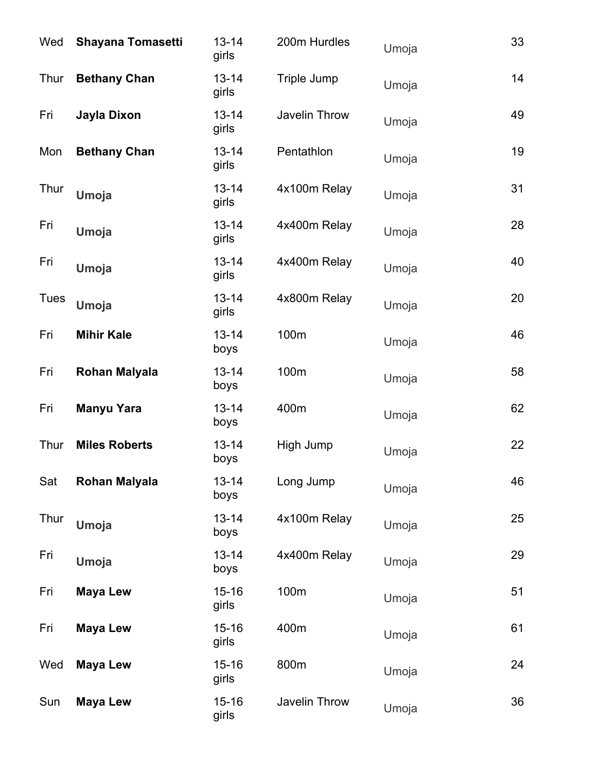| Wed         | <b>Shayana Tomasetti</b> | $13 - 14$<br>girls | 200m Hurdles  | Umoja | 33 |
|-------------|--------------------------|--------------------|---------------|-------|----|
| Thur        | <b>Bethany Chan</b>      | $13 - 14$<br>girls | Triple Jump   | Umoja | 14 |
| Fri         | Jayla Dixon              | $13 - 14$<br>girls | Javelin Throw | Umoja | 49 |
| Mon         | <b>Bethany Chan</b>      | $13 - 14$<br>girls | Pentathlon    | Umoja | 19 |
| Thur        | Umoja                    | $13 - 14$<br>girls | 4x100m Relay  | Umoja | 31 |
| Fri         | Umoja                    | $13 - 14$<br>girls | 4x400m Relay  | Umoja | 28 |
| Fri         | Umoja                    | $13 - 14$<br>girls | 4x400m Relay  | Umoja | 40 |
| <b>Tues</b> | Umoja                    | $13 - 14$<br>girls | 4x800m Relay  | Umoja | 20 |
| Fri         | <b>Mihir Kale</b>        | $13 - 14$<br>boys  | 100m          | Umoja | 46 |
| Fri         | <b>Rohan Malyala</b>     | $13 - 14$<br>boys  | 100m          | Umoja | 58 |
| Fri         | <b>Manyu Yara</b>        | $13 - 14$<br>boys  | 400m          | Umoja | 62 |
| Thur        | <b>Miles Roberts</b>     | $13 - 14$<br>boys  | High Jump     | Umoja | 22 |
| Sat         | <b>Rohan Malyala</b>     | $13 - 14$<br>boys  | Long Jump     | Umoja | 46 |
| Thur        | <b>Umoja</b>             | $13 - 14$<br>boys  | 4x100m Relay  | Umoja | 25 |
| Fri         | <b>Umoja</b>             | $13 - 14$<br>boys  | 4x400m Relay  | Umoja | 29 |
| Fri         | <b>Maya Lew</b>          | $15 - 16$<br>girls | 100m          | Umoja | 51 |
| Fri         | <b>Maya Lew</b>          | $15 - 16$<br>girls | 400m          | Umoja | 61 |
| Wed         | <b>Maya Lew</b>          | $15 - 16$<br>girls | 800m          | Umoja | 24 |
| Sun         | <b>Maya Lew</b>          | $15 - 16$<br>girls | Javelin Throw | Umoja | 36 |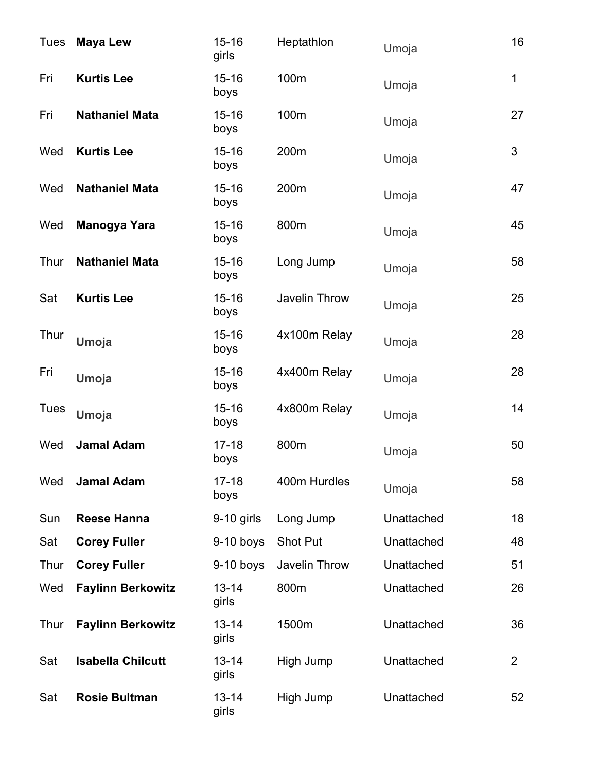| <b>Tues</b> | <b>Maya Lew</b>          | $15 - 16$<br>girls | Heptathlon      | Umoja      | 16             |
|-------------|--------------------------|--------------------|-----------------|------------|----------------|
| Fri         | <b>Kurtis Lee</b>        | $15 - 16$<br>boys  | 100m            | Umoja      | 1              |
| Fri         | <b>Nathaniel Mata</b>    | $15 - 16$<br>boys  | 100m            | Umoja      | 27             |
| Wed         | <b>Kurtis Lee</b>        | $15 - 16$<br>boys  | 200m            | Umoja      | 3              |
| Wed         | <b>Nathaniel Mata</b>    | $15 - 16$<br>boys  | 200m            | Umoja      | 47             |
| Wed         | Manogya Yara             | $15 - 16$<br>boys  | 800m            | Umoja      | 45             |
| Thur        | <b>Nathaniel Mata</b>    | $15 - 16$<br>boys  | Long Jump       | Umoja      | 58             |
| Sat         | <b>Kurtis Lee</b>        | $15 - 16$<br>boys  | Javelin Throw   | Umoja      | 25             |
| Thur        | Umoja                    | $15 - 16$<br>boys  | 4x100m Relay    | Umoja      | 28             |
| Fri         | Umoja                    | $15 - 16$<br>boys  | 4x400m Relay    | Umoja      | 28             |
| <b>Tues</b> | Umoja                    | $15 - 16$<br>boys  | 4x800m Relay    | Umoja      | 14             |
| Wed         | <b>Jamal Adam</b>        | $17 - 18$<br>boys  | 800m            | Umoja      | 50             |
| Wed         | <b>Jamal Adam</b>        | $17 - 18$<br>boys  | 400m Hurdles    | Umoja      | 58             |
| Sun         | <b>Reese Hanna</b>       | $9-10$ girls       | Long Jump       | Unattached | 18             |
| Sat         | <b>Corey Fuller</b>      | $9-10$ boys        | <b>Shot Put</b> | Unattached | 48             |
| Thur        | <b>Corey Fuller</b>      | $9-10$ boys        | Javelin Throw   | Unattached | 51             |
| Wed         | <b>Faylinn Berkowitz</b> | $13 - 14$<br>girls | 800m            | Unattached | 26             |
| Thur        | <b>Faylinn Berkowitz</b> | $13 - 14$<br>girls | 1500m           | Unattached | 36             |
| Sat         | <b>Isabella Chilcutt</b> | $13 - 14$<br>girls | High Jump       | Unattached | $\overline{2}$ |
| Sat         | <b>Rosie Bultman</b>     | $13 - 14$<br>girls | High Jump       | Unattached | 52             |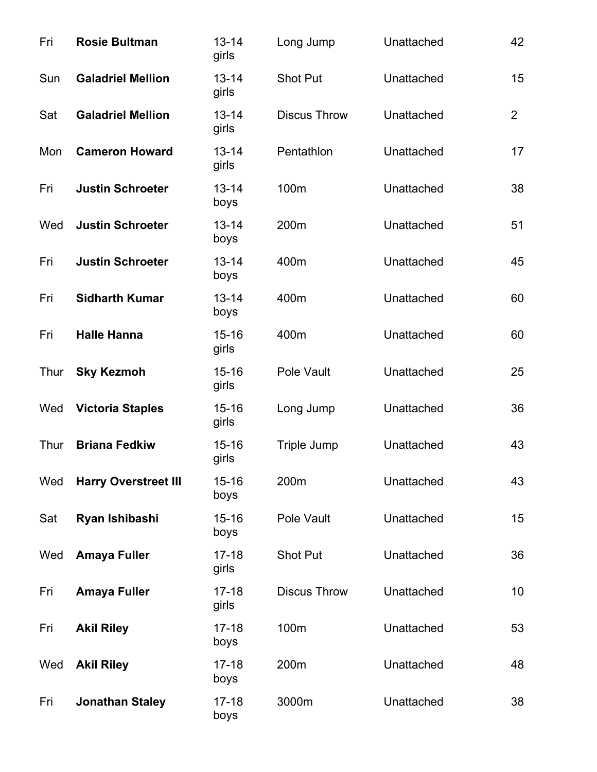| Fri  | <b>Rosie Bultman</b>        | $13 - 14$<br>girls | Long Jump           | Unattached | 42             |
|------|-----------------------------|--------------------|---------------------|------------|----------------|
| Sun  | <b>Galadriel Mellion</b>    | $13 - 14$<br>girls | <b>Shot Put</b>     | Unattached | 15             |
| Sat  | <b>Galadriel Mellion</b>    | $13 - 14$<br>girls | <b>Discus Throw</b> | Unattached | $\overline{2}$ |
| Mon  | <b>Cameron Howard</b>       | $13 - 14$<br>girls | Pentathlon          | Unattached | 17             |
| Fri  | <b>Justin Schroeter</b>     | $13 - 14$<br>boys  | 100m                | Unattached | 38             |
| Wed  | <b>Justin Schroeter</b>     | $13 - 14$<br>boys  | 200m                | Unattached | 51             |
| Fri  | <b>Justin Schroeter</b>     | $13 - 14$<br>boys  | 400m                | Unattached | 45             |
| Fri  | <b>Sidharth Kumar</b>       | $13 - 14$<br>boys  | 400m                | Unattached | 60             |
| Fri  | <b>Halle Hanna</b>          | $15 - 16$<br>girls | 400m                | Unattached | 60             |
| Thur | <b>Sky Kezmoh</b>           | $15 - 16$<br>girls | Pole Vault          | Unattached | 25             |
| Wed  | <b>Victoria Staples</b>     | $15 - 16$<br>girls | Long Jump           | Unattached | 36             |
| Thur | <b>Briana Fedkiw</b>        | $15 - 16$<br>girls | Triple Jump         | Unattached | 43             |
| Wed  | <b>Harry Overstreet III</b> | $15 - 16$<br>boys  | 200m                | Unattached | 43             |
| Sat  | Ryan Ishibashi              | $15 - 16$<br>boys  | Pole Vault          | Unattached | 15             |
| Wed  | <b>Amaya Fuller</b>         | $17 - 18$<br>girls | <b>Shot Put</b>     | Unattached | 36             |
| Fri  | <b>Amaya Fuller</b>         | $17 - 18$<br>girls | <b>Discus Throw</b> | Unattached | 10             |
| Fri  | <b>Akil Riley</b>           | $17 - 18$<br>boys  | 100m                | Unattached | 53             |
| Wed  | <b>Akil Riley</b>           | $17 - 18$<br>boys  | 200m                | Unattached | 48             |
| Fri  | <b>Jonathan Staley</b>      | $17-18$<br>boys    | 3000m               | Unattached | 38             |